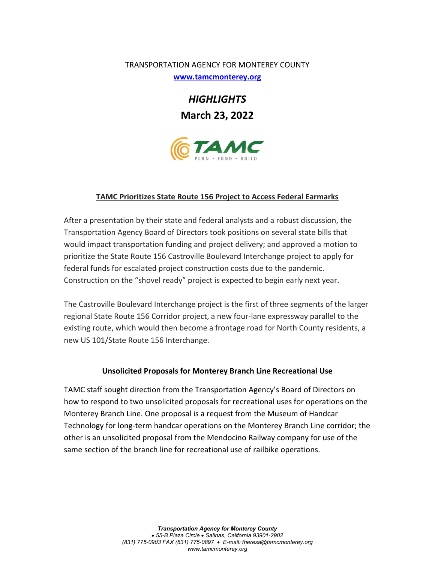## TRANSPORTATION AGENCY FOR MONTEREY COUNTY

**[www.tamcmonterey.org](http://www.tamcmonterey.org/)**

*HIGHLIGHTS* **March 23, 2022**



## **TAMC Prioritizes State Route 156 Project to Access Federal Earmarks**

After a presentation by their state and federal analysts and a robust discussion, the Transportation Agency Board of Directors took positions on several state bills that would impact transportation funding and project delivery; and approved a motion to prioritize the State Route 156 Castroville Boulevard Interchange project to apply for federal funds for escalated project construction costs due to the pandemic. Construction on the "shovel ready" project is expected to begin early next year.

The Castroville Boulevard Interchange project is the first of three segments of the larger regional State Route 156 Corridor project, a new four-lane expressway parallel to the existing route, which would then become a frontage road for North County residents, a new US 101/State Route 156 Interchange.

## **Unsolicited Proposals for Monterey Branch Line Recreational Use**

TAMC staff sought direction from the Transportation Agency's Board of Directors on how to respond to two unsolicited proposals for recreational uses for operations on the Monterey Branch Line. One proposal is a request from the Museum of Handcar Technology for long-term handcar operations on the Monterey Branch Line corridor; the other is an unsolicited proposal from the Mendocino Railway company for use of the same section of the branch line for recreational use of railbike operations.

> *Transportation Agency for Monterey County* • *55-B Plaza Circle* • *Salinas, California 93901-2902 (831) 775-0903 FAX (831) 775-0897* • *E-mail: theresa@tamcmonterey.org www.tamcmonterey.org*